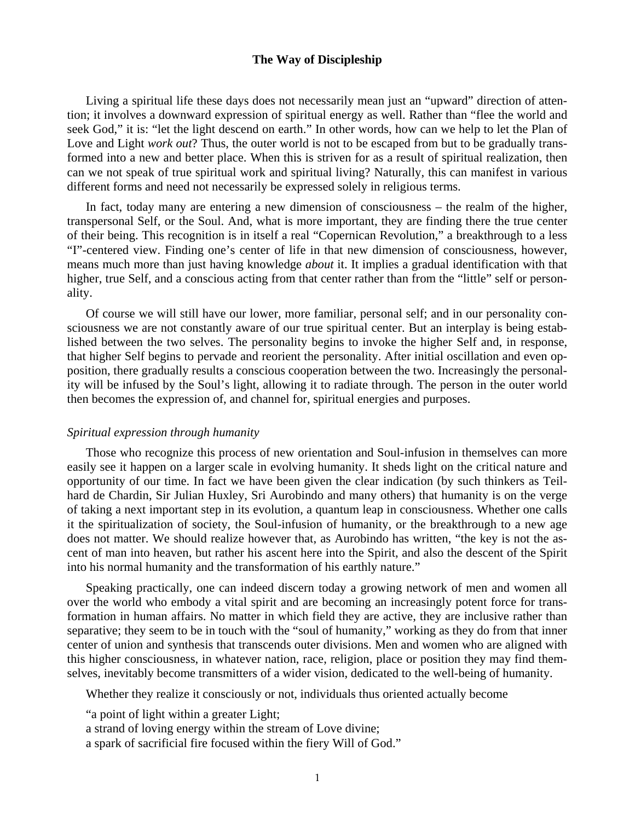# **The Way of Discipleship**

 Living a spiritual life these days does not necessarily mean just an "upward" direction of attention; it involves a downward expression of spiritual energy as well. Rather than "flee the world and seek God," it is: "let the light descend on earth." In other words, how can we help to let the Plan of Love and Light *work out*? Thus, the outer world is not to be escaped from but to be gradually transformed into a new and better place. When this is striven for as a result of spiritual realization, then can we not speak of true spiritual work and spiritual living? Naturally, this can manifest in various different forms and need not necessarily be expressed solely in religious terms.

 In fact, today many are entering a new dimension of consciousness – the realm of the higher, transpersonal Self, or the Soul. And, what is more important, they are finding there the true center of their being. This recognition is in itself a real "Copernican Revolution," a breakthrough to a less "I"-centered view. Finding one's center of life in that new dimension of consciousness, however, means much more than just having knowledge *about* it. It implies a gradual identification with that higher, true Self, and a conscious acting from that center rather than from the "little" self or personality.

 Of course we will still have our lower, more familiar, personal self; and in our personality consciousness we are not constantly aware of our true spiritual center. But an interplay is being established between the two selves. The personality begins to invoke the higher Self and, in response, that higher Self begins to pervade and reorient the personality. After initial oscillation and even opposition, there gradually results a conscious cooperation between the two. Increasingly the personality will be infused by the Soul's light, allowing it to radiate through. The person in the outer world then becomes the expression of, and channel for, spiritual energies and purposes.

#### *Spiritual expression through humanity*

 Those who recognize this process of new orientation and Soul-infusion in themselves can more easily see it happen on a larger scale in evolving humanity. It sheds light on the critical nature and opportunity of our time. In fact we have been given the clear indication (by such thinkers as Teilhard de Chardin, Sir Julian Huxley, Sri Aurobindo and many others) that humanity is on the verge of taking a next important step in its evolution, a quantum leap in consciousness. Whether one calls it the spiritualization of society, the Soul-infusion of humanity, or the breakthrough to a new age does not matter. We should realize however that, as Aurobindo has written, "the key is not the ascent of man into heaven, but rather his ascent here into the Spirit, and also the descent of the Spirit into his normal humanity and the transformation of his earthly nature."

 Speaking practically, one can indeed discern today a growing network of men and women all over the world who embody a vital spirit and are becoming an increasingly potent force for transformation in human affairs. No matter in which field they are active, they are inclusive rather than separative; they seem to be in touch with the "soul of humanity," working as they do from that inner center of union and synthesis that transcends outer divisions. Men and women who are aligned with this higher consciousness, in whatever nation, race, religion, place or position they may find themselves, inevitably become transmitters of a wider vision, dedicated to the well-being of humanity.

Whether they realize it consciously or not, individuals thus oriented actually become

"a point of light within a greater Light;

a strand of loving energy within the stream of Love divine;

a spark of sacrificial fire focused within the fiery Will of God."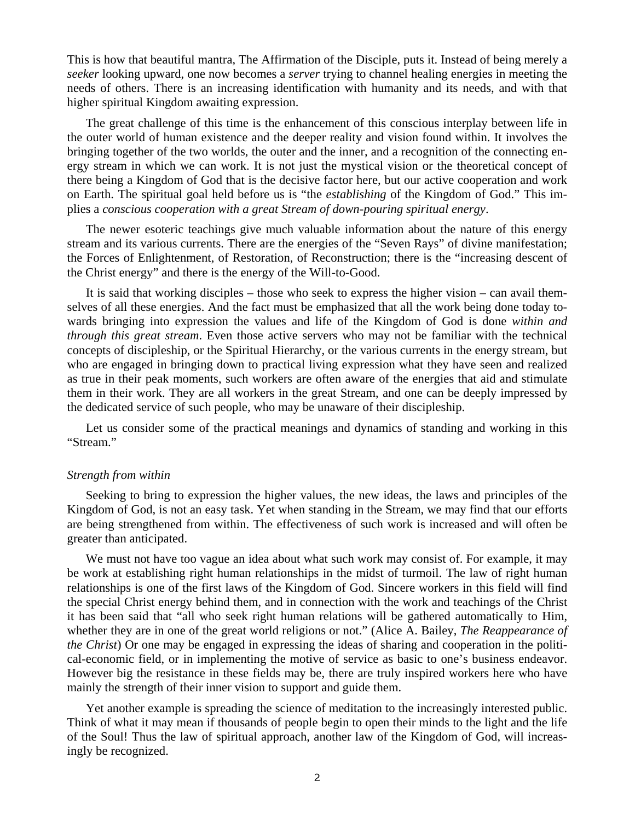This is how that beautiful mantra, The Affirmation of the Disciple, puts it. Instead of being merely a *seeker* looking upward, one now becomes a *server* trying to channel healing energies in meeting the needs of others. There is an increasing identification with humanity and its needs, and with that higher spiritual Kingdom awaiting expression.

 The great challenge of this time is the enhancement of this conscious interplay between life in the outer world of human existence and the deeper reality and vision found within. It involves the bringing together of the two worlds, the outer and the inner, and a recognition of the connecting energy stream in which we can work. It is not just the mystical vision or the theoretical concept of there being a Kingdom of God that is the decisive factor here, but our active cooperation and work on Earth. The spiritual goal held before us is "the *establishing* of the Kingdom of God." This implies a *conscious cooperation with a great Stream of down-pouring spiritual energy*.

 The newer esoteric teachings give much valuable information about the nature of this energy stream and its various currents. There are the energies of the "Seven Rays" of divine manifestation; the Forces of Enlightenment, of Restoration, of Reconstruction; there is the "increasing descent of the Christ energy" and there is the energy of the Will-to-Good.

 It is said that working disciples – those who seek to express the higher vision – can avail themselves of all these energies. And the fact must be emphasized that all the work being done today towards bringing into expression the values and life of the Kingdom of God is done *within and through this great stream*. Even those active servers who may not be familiar with the technical concepts of discipleship, or the Spiritual Hierarchy, or the various currents in the energy stream, but who are engaged in bringing down to practical living expression what they have seen and realized as true in their peak moments, such workers are often aware of the energies that aid and stimulate them in their work. They are all workers in the great Stream, and one can be deeply impressed by the dedicated service of such people, who may be unaware of their discipleship.

 Let us consider some of the practical meanings and dynamics of standing and working in this "Stream."

# *Strength from within*

 Seeking to bring to expression the higher values, the new ideas, the laws and principles of the Kingdom of God, is not an easy task. Yet when standing in the Stream, we may find that our efforts are being strengthened from within. The effectiveness of such work is increased and will often be greater than anticipated.

 We must not have too vague an idea about what such work may consist of. For example, it may be work at establishing right human relationships in the midst of turmoil. The law of right human relationships is one of the first laws of the Kingdom of God. Sincere workers in this field will find the special Christ energy behind them, and in connection with the work and teachings of the Christ it has been said that "all who seek right human relations will be gathered automatically to Him, whether they are in one of the great world religions or not." (Alice A. Bailey, *The Reappearance of the Christ*) Or one may be engaged in expressing the ideas of sharing and cooperation in the political-economic field, or in implementing the motive of service as basic to one's business endeavor. However big the resistance in these fields may be, there are truly inspired workers here who have mainly the strength of their inner vision to support and guide them.

 Yet another example is spreading the science of meditation to the increasingly interested public. Think of what it may mean if thousands of people begin to open their minds to the light and the life of the Soul! Thus the law of spiritual approach, another law of the Kingdom of God, will increasingly be recognized.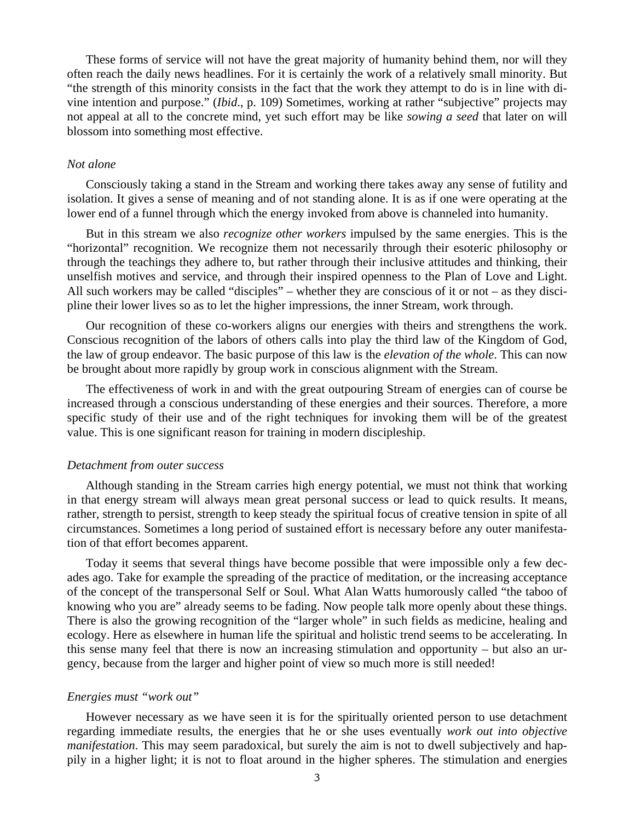These forms of service will not have the great majority of humanity behind them, nor will they often reach the daily news headlines. For it is certainly the work of a relatively small minority. But "the strength of this minority consists in the fact that the work they attempt to do is in line with divine intention and purpose." (*Ibid*., p. 109) Sometimes, working at rather "subjective" projects may not appeal at all to the concrete mind, yet such effort may be like *sowing a seed* that later on will blossom into something most effective.

#### *Not alone*

 Consciously taking a stand in the Stream and working there takes away any sense of futility and isolation. It gives a sense of meaning and of not standing alone. It is as if one were operating at the lower end of a funnel through which the energy invoked from above is channeled into humanity.

 But in this stream we also *recognize other workers* impulsed by the same energies. This is the "horizontal" recognition. We recognize them not necessarily through their esoteric philosophy or through the teachings they adhere to, but rather through their inclusive attitudes and thinking, their unselfish motives and service, and through their inspired openness to the Plan of Love and Light. All such workers may be called "disciples" – whether they are conscious of it or not – as they discipline their lower lives so as to let the higher impressions, the inner Stream, work through.

 Our recognition of these co-workers aligns our energies with theirs and strengthens the work. Conscious recognition of the labors of others calls into play the third law of the Kingdom of God, the law of group endeavor. The basic purpose of this law is the *elevation of the whole*. This can now be brought about more rapidly by group work in conscious alignment with the Stream.

 The effectiveness of work in and with the great outpouring Stream of energies can of course be increased through a conscious understanding of these energies and their sources. Therefore, a more specific study of their use and of the right techniques for invoking them will be of the greatest value. This is one significant reason for training in modern discipleship.

#### *Detachment from outer success*

 Although standing in the Stream carries high energy potential, we must not think that working in that energy stream will always mean great personal success or lead to quick results. It means, rather, strength to persist, strength to keep steady the spiritual focus of creative tension in spite of all circumstances. Sometimes a long period of sustained effort is necessary before any outer manifestation of that effort becomes apparent.

 Today it seems that several things have become possible that were impossible only a few decades ago. Take for example the spreading of the practice of meditation, or the increasing acceptance of the concept of the transpersonal Self or Soul. What Alan Watts humorously called "the taboo of knowing who you are" already seems to be fading. Now people talk more openly about these things. There is also the growing recognition of the "larger whole" in such fields as medicine, healing and ecology. Here as elsewhere in human life the spiritual and holistic trend seems to be accelerating. In this sense many feel that there is now an increasing stimulation and opportunity – but also an urgency, because from the larger and higher point of view so much more is still needed!

# *Energies must "work out"*

 However necessary as we have seen it is for the spiritually oriented person to use detachment regarding immediate results, the energies that he or she uses eventually *work out into objective manifestation*. This may seem paradoxical, but surely the aim is not to dwell subjectively and happily in a higher light; it is not to float around in the higher spheres. The stimulation and energies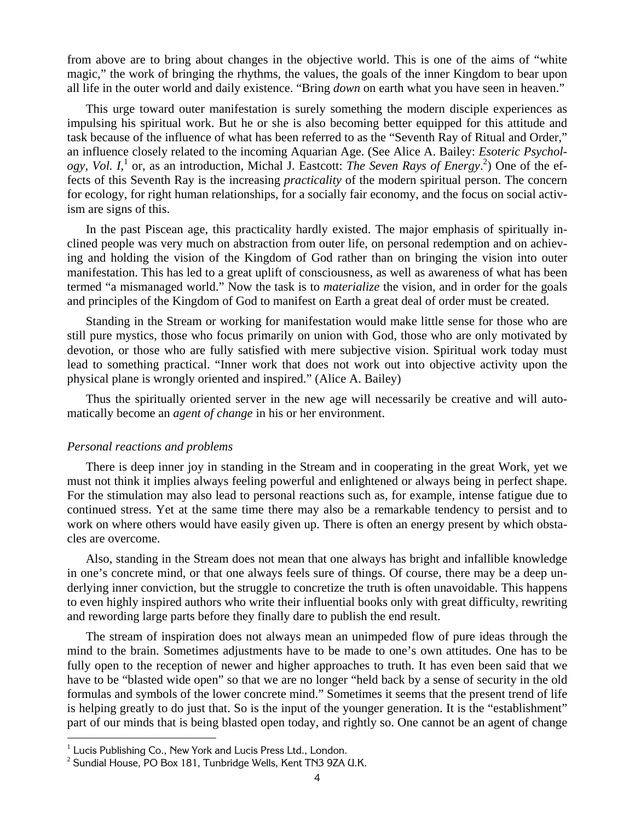from above are to bring about changes in the objective world. This is one of the aims of "white magic," the work of bringing the rhythms, the values, the goals of the inner Kingdom to bear upon all life in the outer world and daily existence. "Bring *down* on earth what you have seen in heaven."

 This urge toward outer manifestation is surely something the modern disciple experiences as impulsing his spiritual work. But he or she is also becoming better equipped for this attitude and task because of the influence of what has been referred to as the "Seventh Ray of Ritual and Order," an influence closely related to the incoming Aquarian Age. (See Alice A. Bailey: *Esoteric Psychol*ogy, Vol. I,<sup>1</sup> or, as an introduction, Michal J. Eastcott: *The Seven Rays of Energy*.<sup>2</sup>) One of the effects of this Seventh Ray is the increasing *practicality* of the modern spiritual person. The concern for ecology, for right human relationships, for a socially fair economy, and the focus on social activism are signs of this.

 In the past Piscean age, this practicality hardly existed. The major emphasis of spiritually inclined people was very much on abstraction from outer life, on personal redemption and on achieving and holding the vision of the Kingdom of God rather than on bringing the vision into outer manifestation. This has led to a great uplift of consciousness, as well as awareness of what has been termed "a mismanaged world." Now the task is to *materialize* the vision, and in order for the goals and principles of the Kingdom of God to manifest on Earth a great deal of order must be created.

 Standing in the Stream or working for manifestation would make little sense for those who are still pure mystics, those who focus primarily on union with God, those who are only motivated by devotion, or those who are fully satisfied with mere subjective vision. Spiritual work today must lead to something practical. "Inner work that does not work out into objective activity upon the physical plane is wrongly oriented and inspired." (Alice A. Bailey)

 Thus the spiritually oriented server in the new age will necessarily be creative and will automatically become an *agent of change* in his or her environment.

# *Personal reactions and problems*

 $\overline{a}$ 

 There is deep inner joy in standing in the Stream and in cooperating in the great Work, yet we must not think it implies always feeling powerful and enlightened or always being in perfect shape. For the stimulation may also lead to personal reactions such as, for example, intense fatigue due to continued stress. Yet at the same time there may also be a remarkable tendency to persist and to work on where others would have easily given up. There is often an energy present by which obstacles are overcome.

 Also, standing in the Stream does not mean that one always has bright and infallible knowledge in one's concrete mind, or that one always feels sure of things. Of course, there may be a deep underlying inner conviction, but the struggle to concretize the truth is often unavoidable. This happens to even highly inspired authors who write their influential books only with great difficulty, rewriting and rewording large parts before they finally dare to publish the end result.

 The stream of inspiration does not always mean an unimpeded flow of pure ideas through the mind to the brain. Sometimes adjustments have to be made to one's own attitudes. One has to be fully open to the reception of newer and higher approaches to truth. It has even been said that we have to be "blasted wide open" so that we are no longer "held back by a sense of security in the old formulas and symbols of the lower concrete mind." Sometimes it seems that the present trend of life is helping greatly to do just that. So is the input of the younger generation. It is the "establishment" part of our minds that is being blasted open today, and rightly so. One cannot be an agent of change

 $1$  Lucis Publishing Co., New York and Lucis Press Ltd., London.

 $2$  Sundial House, PO Box 181, Tunbridge Wells, Kent TN3 9ZA U.K.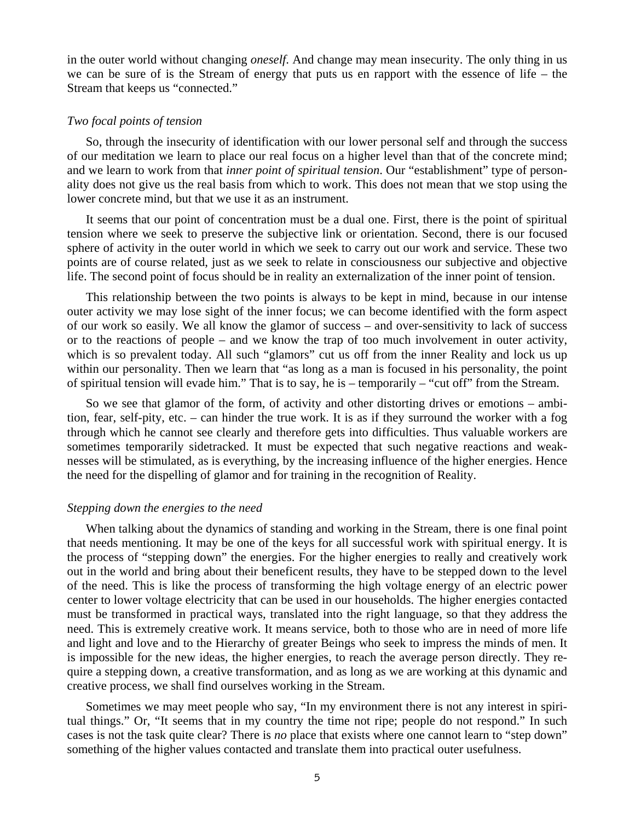in the outer world without changing *oneself*. And change may mean insecurity. The only thing in us we can be sure of is the Stream of energy that puts us en rapport with the essence of life – the Stream that keeps us "connected."

# *Two focal points of tension*

 So, through the insecurity of identification with our lower personal self and through the success of our meditation we learn to place our real focus on a higher level than that of the concrete mind; and we learn to work from that *inner point of spiritual tension*. Our "establishment" type of personality does not give us the real basis from which to work. This does not mean that we stop using the lower concrete mind, but that we use it as an instrument.

 It seems that our point of concentration must be a dual one. First, there is the point of spiritual tension where we seek to preserve the subjective link or orientation. Second, there is our focused sphere of activity in the outer world in which we seek to carry out our work and service. These two points are of course related, just as we seek to relate in consciousness our subjective and objective life. The second point of focus should be in reality an externalization of the inner point of tension.

 This relationship between the two points is always to be kept in mind, because in our intense outer activity we may lose sight of the inner focus; we can become identified with the form aspect of our work so easily. We all know the glamor of success – and over-sensitivity to lack of success or to the reactions of people – and we know the trap of too much involvement in outer activity, which is so prevalent today. All such "glamors" cut us off from the inner Reality and lock us up within our personality. Then we learn that "as long as a man is focused in his personality, the point of spiritual tension will evade him." That is to say, he is – temporarily – "cut off" from the Stream.

 So we see that glamor of the form, of activity and other distorting drives or emotions – ambition, fear, self-pity, etc. – can hinder the true work. It is as if they surround the worker with a fog through which he cannot see clearly and therefore gets into difficulties. Thus valuable workers are sometimes temporarily sidetracked. It must be expected that such negative reactions and weaknesses will be stimulated, as is everything, by the increasing influence of the higher energies. Hence the need for the dispelling of glamor and for training in the recognition of Reality.

### *Stepping down the energies to the need*

 When talking about the dynamics of standing and working in the Stream, there is one final point that needs mentioning. It may be one of the keys for all successful work with spiritual energy. It is the process of "stepping down" the energies. For the higher energies to really and creatively work out in the world and bring about their beneficent results, they have to be stepped down to the level of the need. This is like the process of transforming the high voltage energy of an electric power center to lower voltage electricity that can be used in our households. The higher energies contacted must be transformed in practical ways, translated into the right language, so that they address the need. This is extremely creative work. It means service, both to those who are in need of more life and light and love and to the Hierarchy of greater Beings who seek to impress the minds of men. It is impossible for the new ideas, the higher energies, to reach the average person directly. They require a stepping down, a creative transformation, and as long as we are working at this dynamic and creative process, we shall find ourselves working in the Stream.

 Sometimes we may meet people who say, "In my environment there is not any interest in spiritual things." Or, "It seems that in my country the time not ripe; people do not respond." In such cases is not the task quite clear? There is *no* place that exists where one cannot learn to "step down" something of the higher values contacted and translate them into practical outer usefulness.